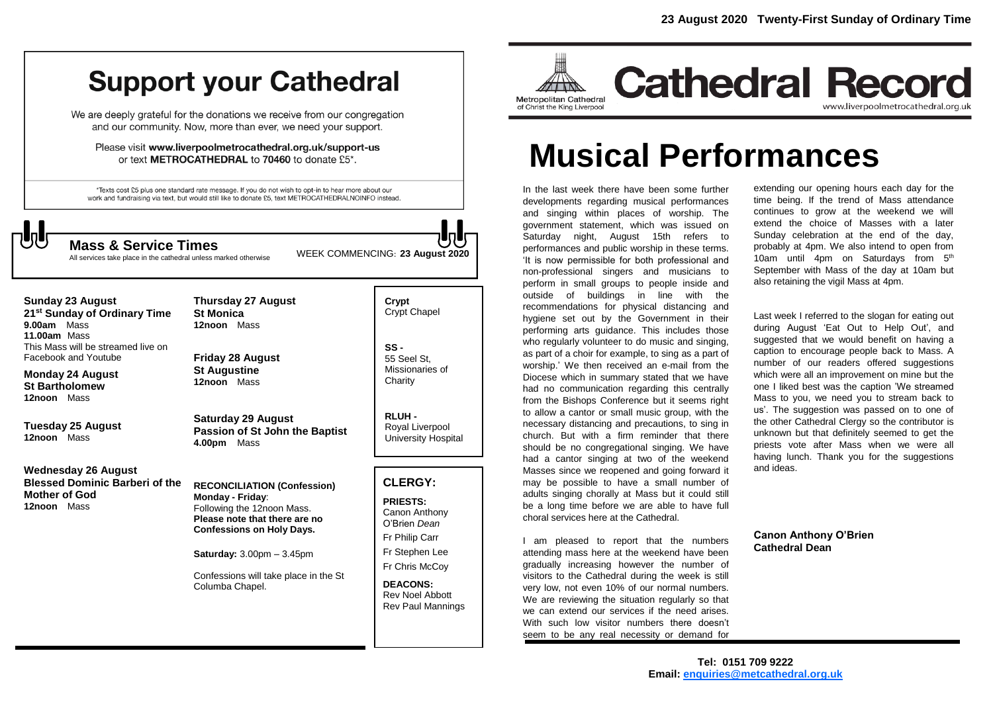# **Support your Cathedral**

We are deeply grateful for the donations we receive from our congregation and our community. Now, more than ever, we need your support.

Please visit www.liverpoolmetrocathedral.org.uk/support-us or text METROCATHEDRAL to 70460 to donate £5\*.

\*Texts cost £5 plus one standard rate message. If you do not wish to opt-in to hear more about our work and fundraising via text, but would still like to donate £5, text METROCATHEDRALNOINFO instead.



All services take place in the cathedral unless marked otherwise

WEEK COMMENCING: **<sup>23</sup> August <sup>2020</sup> Mass & Service Times**

| <b>Sunday 23 August</b><br>21 <sup>st</sup> Sunday of Ordinary Time<br>Mass<br>9.00am<br>11.00am Mass<br>This Mass will be streamed live on<br>Facebook and Youtube | <b>Thursday 27 August</b><br><b>St Monica</b><br>12noon Mass<br><b>Friday 28 August</b>                                                                                                                                                                                     | Crypt<br>Crypt Chapel<br>$SS -$<br>55 Seel St.                                                                                                                                                    |
|---------------------------------------------------------------------------------------------------------------------------------------------------------------------|-----------------------------------------------------------------------------------------------------------------------------------------------------------------------------------------------------------------------------------------------------------------------------|---------------------------------------------------------------------------------------------------------------------------------------------------------------------------------------------------|
| <b>Monday 24 August</b><br><b>St Bartholomew</b><br>Mass<br>12noon                                                                                                  | <b>St Augustine</b><br>12noon Mass                                                                                                                                                                                                                                          | Missionaries of<br>Charity                                                                                                                                                                        |
| Tuesday 25 August<br>12noon Mass                                                                                                                                    | <b>Saturday 29 August</b><br>Passion of St John the Baptist<br>4.00pm<br>Mass                                                                                                                                                                                               | <b>RLUH-</b><br>Royal Liverpool<br>University Hospital                                                                                                                                            |
| Wednesday 26 August                                                                                                                                                 |                                                                                                                                                                                                                                                                             |                                                                                                                                                                                                   |
| <b>Blessed Dominic Barberi of the</b><br><b>Mother of God</b><br>12noon Mass                                                                                        | <b>RECONCILIATION (Confession)</b><br>Monday - Friday:<br>Following the 12noon Mass.<br>Please note that there are no<br><b>Confessions on Holy Days.</b><br><b>Saturday:</b> $3.00 \text{pm} - 3.45 \text{pm}$<br>Confessions will take place in the St<br>Columba Chapel. | <b>CLERGY:</b><br><b>PRIESTS:</b><br>Canon Anthony<br>O'Brien Dean<br>Fr Philip Carr<br>Fr Stephen Lee<br>Fr Chris McCoy<br><b>DEACONS:</b><br><b>Rev Noel Abbott</b><br><b>Rev Paul Mannings</b> |
|                                                                                                                                                                     |                                                                                                                                                                                                                                                                             |                                                                                                                                                                                                   |



# **Musical Performances**

In the last week there have been some further developments regarding musical performances and singing within places of worship. The government statement, which was issued on Saturday night, August 15th refers to performances and public worship in these terms. 'It is now permissible for both professional and non-professional singers and musicians to perform in small groups to people inside and outside of buildings in line with the recommendations for physical distancing and hygiene set out by the Government in their performing arts guidance. This includes those who regularly volunteer to do music and singing, as part of a choir for example, to sing as a part of worship.' We then received an e-mail from the Diocese which in summary stated that we have had no communication regarding this centrally from the Bishops Conference but it seems right to allow a cantor or small music group, with the necessary distancing and precautions, to sing in church. But with a firm reminder that there should be no congregational singing. We have had a cantor singing at two of the weekend Masses since we reopened and going forward it may be possible to have a small number of adults singing chorally at Mass but it could still be a long time before we are able to have full choral services here at the Cathedral.

I am pleased to report that the numbers attending mass here at the weekend have been gradually increasing however the number of visitors to the Cathedral during the week is still very low, not even 10% of our normal numbers. We are reviewing the situation regularly so that we can extend our services if the need arises. With such low visitor numbers there doesn't seem to be any real necessity or demand for

extending our opening hours each day for the time being. If the trend of Mass attendance continues to grow at the weekend we will extend the choice of Masses with a later Sunday celebration at the end of the day, probably at 4pm. We also intend to open from 10am until 4pm on Saturdays from 5<sup>th</sup> September with Mass of the day at 10am but also retaining the vigil Mass at 4pm.

Last week I referred to the slogan for eating out during August 'Eat Out to Help Out', and suggested that we would benefit on having a caption to encourage people back to Mass. A number of our readers offered suggestions which were all an improvement on mine but the one I liked best was the caption 'We streamed Mass to you, we need you to stream back to us'. The suggestion was passed on to one of the other Cathedral Clergy so the contributor is unknown but that definitely seemed to get the priests vote after Mass when we were all having lunch. Thank you for the suggestions and ideas.

**Canon Anthony O'Brien Cathedral Dean**